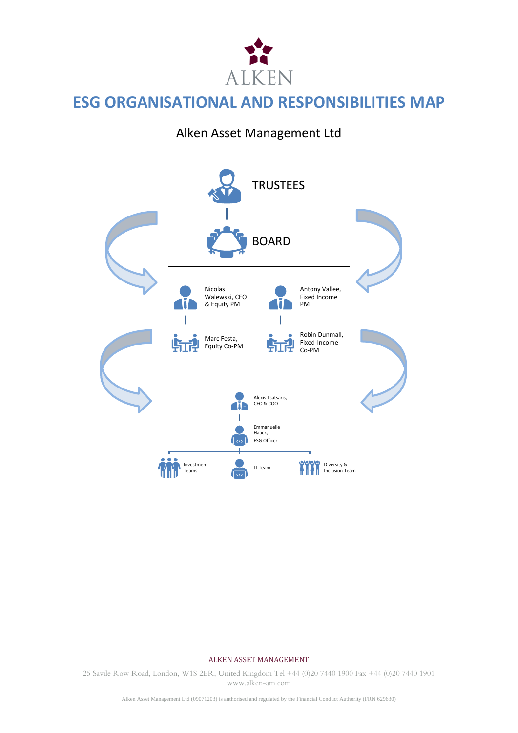

# **ESG ORGANISATIONAL AND RESPONSIBILITIES MAP**

# Alken Asset Management Ltd



#### ALKEN ASSET MANAGEMENT

25 Savile Row Road, London, W1S 2ER, United Kingdom Tel +44 (0)20 7440 1900 Fax +44 (0)20 7440 1901 www.alken-am.com